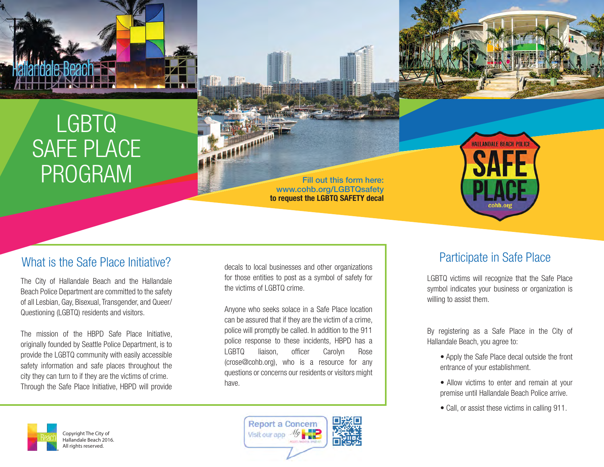

# LGBTQ SAFE PLACE PROGRAM



Fill out this form here: www.cohb.org/LGBTQsafety  **to request the LGBTQ SAFETY decal**



#### What is the Safe Place Initiative?

The City of Hallandale Beach and the Hallandale Beach Police Department are committed to the safety of all Lesbian, Gay, Bisexual, Transgender, and Queer/ Questioning (LGBTQ) residents and visitors.

The mission of the HBPD Safe Place Initiative, originally founded by Seattle Police Department, is to provide the LGBTQ community with easily accessible safety information and safe places throughout the city they can turn to if they are the victims of crime. Through the Safe Place Initiative, HBPD will provide

decals to local businesses and other organizations for those entities to post as a symbol of safety for the victims of LGBTQ crime.

Anyone who seeks solace in a Safe Place location can be assured that if they are the victim of a crime, police will promptly be called. In addition to the 911 police response to these incidents, HBPD has a LGBTQ liaison, officer Carolyn Rose (crose@cohb.org), who is a resource for any questions or concerns our residents or visitors might have.

> **Report a Concern** Visit our app - 1/4

#### Participate in Safe Place

LGBTQ victims will recognize that the Safe Place symbol indicates your business or organization is willing to assist them.

By registering as a Safe Place in the City of Hallandale Beach, you agree to:

- Apply the Safe Place decal outside the front entrance of your establishment.
- Allow victims to enter and remain at your premise until Hallandale Beach Police arrive.
- Call, or assist these victims in calling 911.